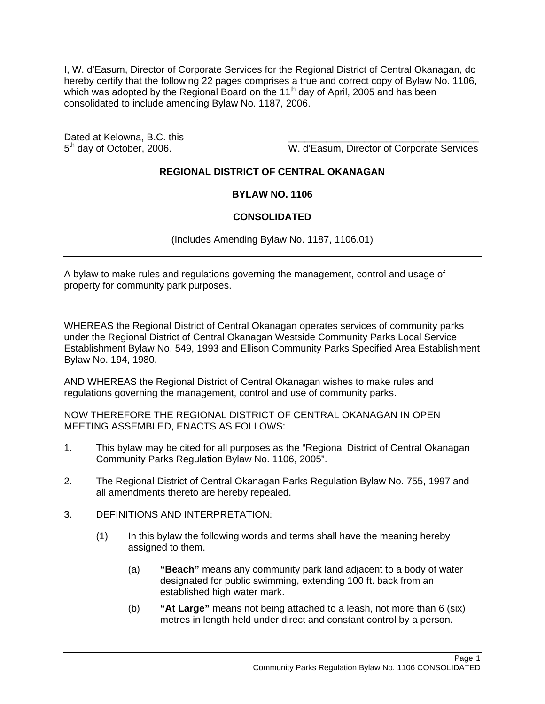I, W. d'Easum, Director of Corporate Services for the Regional District of Central Okanagan, do hereby certify that the following 22 pages comprises a true and correct copy of Bylaw No. 1106, which was adopted by the Regional Board on the 11<sup>th</sup> day of April, 2005 and has been consolidated to include amending Bylaw No. 1187, 2006.

Dated at Kelowna, B.C. this

5<sup>th</sup> day of October, 2006. Note that the U. d'Easum, Director of Corporate Services

## **REGIONAL DISTRICT OF CENTRAL OKANAGAN**

## **BYLAW NO. 1106**

## **CONSOLIDATED**

(Includes Amending Bylaw No. 1187, 1106.01)

A bylaw to make rules and regulations governing the management, control and usage of property for community park purposes.

WHEREAS the Regional District of Central Okanagan operates services of community parks under the Regional District of Central Okanagan Westside Community Parks Local Service Establishment Bylaw No. 549, 1993 and Ellison Community Parks Specified Area Establishment Bylaw No. 194, 1980.

AND WHEREAS the Regional District of Central Okanagan wishes to make rules and regulations governing the management, control and use of community parks.

NOW THEREFORE THE REGIONAL DISTRICT OF CENTRAL OKANAGAN IN OPEN MEETING ASSEMBLED, ENACTS AS FOLLOWS:

- 1. This bylaw may be cited for all purposes as the "Regional District of Central Okanagan Community Parks Regulation Bylaw No. 1106, 2005".
- 2. The Regional District of Central Okanagan Parks Regulation Bylaw No. 755, 1997 and all amendments thereto are hereby repealed.
- 3. DEFINITIONS AND INTERPRETATION:
	- (1) In this bylaw the following words and terms shall have the meaning hereby assigned to them.
		- (a) **"Beach"** means any community park land adjacent to a body of water designated for public swimming, extending 100 ft. back from an established high water mark.
		- (b) **"At Large"** means not being attached to a leash, not more than 6 (six) metres in length held under direct and constant control by a person.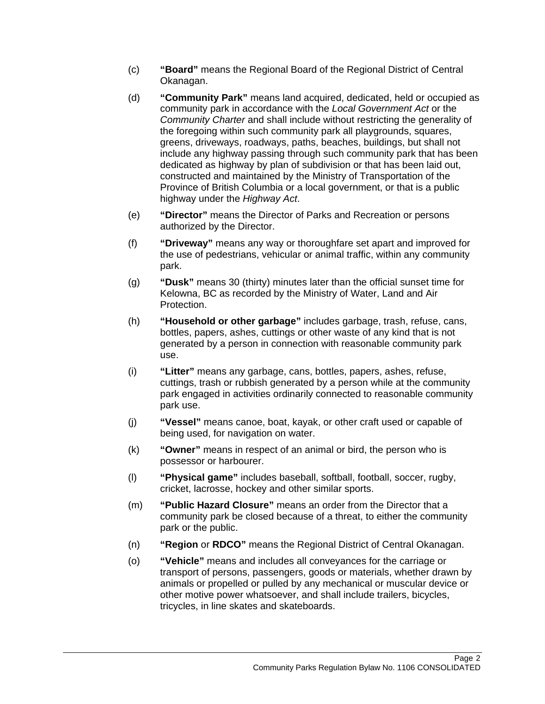- (c) **"Board"** means the Regional Board of the Regional District of Central Okanagan.
- (d) **"Community Park"** means land acquired, dedicated, held or occupied as community park in accordance with the *Local Government Act* or the *Community Charter* and shall include without restricting the generality of the foregoing within such community park all playgrounds, squares, greens, driveways, roadways, paths, beaches, buildings, but shall not include any highway passing through such community park that has been dedicated as highway by plan of subdivision or that has been laid out, constructed and maintained by the Ministry of Transportation of the Province of British Columbia or a local government, or that is a public highway under the *Highway Act*.
- (e) **"Director"** means the Director of Parks and Recreation or persons authorized by the Director.
- (f) **"Driveway"** means any way or thoroughfare set apart and improved for the use of pedestrians, vehicular or animal traffic, within any community park.
- (g) **"Dusk"** means 30 (thirty) minutes later than the official sunset time for Kelowna, BC as recorded by the Ministry of Water, Land and Air Protection.
- (h) **"Household or other garbage"** includes garbage, trash, refuse, cans, bottles, papers, ashes, cuttings or other waste of any kind that is not generated by a person in connection with reasonable community park use.
- (i) **"Litter"** means any garbage, cans, bottles, papers, ashes, refuse, cuttings, trash or rubbish generated by a person while at the community park engaged in activities ordinarily connected to reasonable community park use.
- (j) **"Vessel"** means canoe, boat, kayak, or other craft used or capable of being used, for navigation on water.
- (k) **"Owner"** means in respect of an animal or bird, the person who is possessor or harbourer.
- (l) **"Physical game"** includes baseball, softball, football, soccer, rugby, cricket, lacrosse, hockey and other similar sports.
- (m) **"Public Hazard Closure"** means an order from the Director that a community park be closed because of a threat, to either the community park or the public.
- (n) **"Region** or **RDCO"** means the Regional District of Central Okanagan.
- (o) **"Vehicle"** means and includes all conveyances for the carriage or transport of persons, passengers, goods or materials, whether drawn by animals or propelled or pulled by any mechanical or muscular device or other motive power whatsoever, and shall include trailers, bicycles, tricycles, in line skates and skateboards.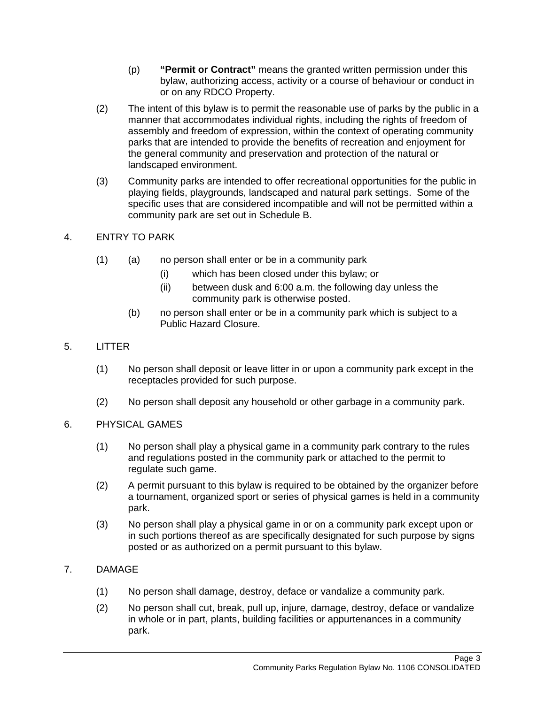- (p) **"Permit or Contract"** means the granted written permission under this bylaw, authorizing access, activity or a course of behaviour or conduct in or on any RDCO Property.
- (2) The intent of this bylaw is to permit the reasonable use of parks by the public in a manner that accommodates individual rights, including the rights of freedom of assembly and freedom of expression, within the context of operating community parks that are intended to provide the benefits of recreation and enjoyment for the general community and preservation and protection of the natural or landscaped environment.
- (3) Community parks are intended to offer recreational opportunities for the public in playing fields, playgrounds, landscaped and natural park settings. Some of the specific uses that are considered incompatible and will not be permitted within a community park are set out in Schedule B.
- 4. ENTRY TO PARK
	- (1) (a) no person shall enter or be in a community park
		- (i) which has been closed under this bylaw; or
		- (ii) between dusk and 6:00 a.m. the following day unless the community park is otherwise posted.
		- (b) no person shall enter or be in a community park which is subject to a Public Hazard Closure.
- 5. LITTER
	- (1) No person shall deposit or leave litter in or upon a community park except in the receptacles provided for such purpose.
	- (2) No person shall deposit any household or other garbage in a community park.
- 6. PHYSICAL GAMES
	- (1) No person shall play a physical game in a community park contrary to the rules and regulations posted in the community park or attached to the permit to regulate such game.
	- (2) A permit pursuant to this bylaw is required to be obtained by the organizer before a tournament, organized sport or series of physical games is held in a community park.
	- (3) No person shall play a physical game in or on a community park except upon or in such portions thereof as are specifically designated for such purpose by signs posted or as authorized on a permit pursuant to this bylaw.
- 7. DAMAGE
	- (1) No person shall damage, destroy, deface or vandalize a community park.
	- (2) No person shall cut, break, pull up, injure, damage, destroy, deface or vandalize in whole or in part, plants, building facilities or appurtenances in a community park.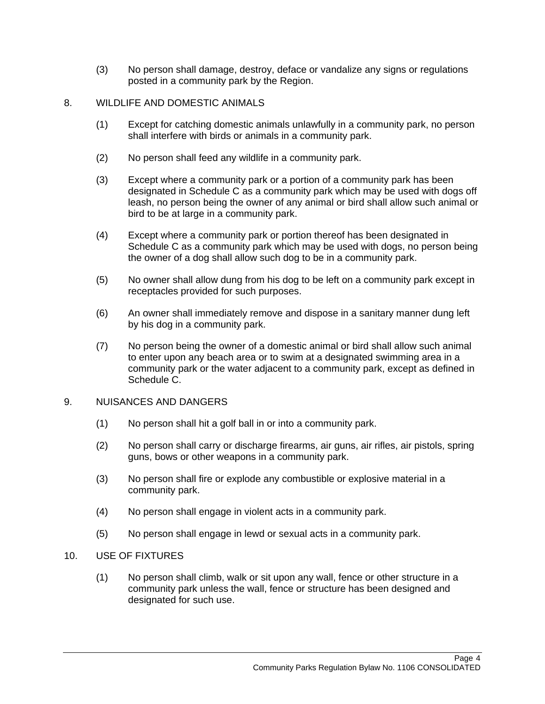(3) No person shall damage, destroy, deface or vandalize any signs or regulations posted in a community park by the Region.

## 8. WILDLIFE AND DOMESTIC ANIMALS

- (1) Except for catching domestic animals unlawfully in a community park, no person shall interfere with birds or animals in a community park.
- (2) No person shall feed any wildlife in a community park.
- (3) Except where a community park or a portion of a community park has been designated in Schedule C as a community park which may be used with dogs off leash, no person being the owner of any animal or bird shall allow such animal or bird to be at large in a community park.
- (4) Except where a community park or portion thereof has been designated in Schedule C as a community park which may be used with dogs, no person being the owner of a dog shall allow such dog to be in a community park.
- (5) No owner shall allow dung from his dog to be left on a community park except in receptacles provided for such purposes.
- (6) An owner shall immediately remove and dispose in a sanitary manner dung left by his dog in a community park.
- (7) No person being the owner of a domestic animal or bird shall allow such animal to enter upon any beach area or to swim at a designated swimming area in a community park or the water adjacent to a community park, except as defined in Schedule C.

## 9. NUISANCES AND DANGERS

- (1) No person shall hit a golf ball in or into a community park.
- (2) No person shall carry or discharge firearms, air guns, air rifles, air pistols, spring guns, bows or other weapons in a community park.
- (3) No person shall fire or explode any combustible or explosive material in a community park.
- (4) No person shall engage in violent acts in a community park.
- (5) No person shall engage in lewd or sexual acts in a community park.

## 10. USE OF FIXTURES

(1) No person shall climb, walk or sit upon any wall, fence or other structure in a community park unless the wall, fence or structure has been designed and designated for such use.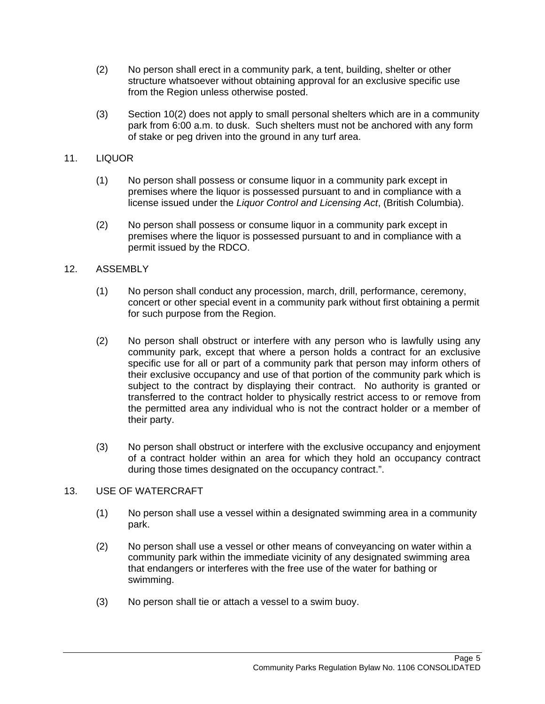- (2) No person shall erect in a community park, a tent, building, shelter or other structure whatsoever without obtaining approval for an exclusive specific use from the Region unless otherwise posted.
- (3) Section 10(2) does not apply to small personal shelters which are in a community park from 6:00 a.m. to dusk. Such shelters must not be anchored with any form of stake or peg driven into the ground in any turf area.

## 11. LIQUOR

- (1) No person shall possess or consume liquor in a community park except in premises where the liquor is possessed pursuant to and in compliance with a license issued under the *Liquor Control and Licensing Act*, (British Columbia).
- (2) No person shall possess or consume liquor in a community park except in premises where the liquor is possessed pursuant to and in compliance with a permit issued by the RDCO.

## 12. ASSEMBLY

- (1) No person shall conduct any procession, march, drill, performance, ceremony, concert or other special event in a community park without first obtaining a permit for such purpose from the Region.
- (2) No person shall obstruct or interfere with any person who is lawfully using any community park, except that where a person holds a contract for an exclusive specific use for all or part of a community park that person may inform others of their exclusive occupancy and use of that portion of the community park which is subject to the contract by displaying their contract. No authority is granted or transferred to the contract holder to physically restrict access to or remove from the permitted area any individual who is not the contract holder or a member of their party.
- (3) No person shall obstruct or interfere with the exclusive occupancy and enjoyment of a contract holder within an area for which they hold an occupancy contract during those times designated on the occupancy contract.".

## 13. USE OF WATERCRAFT

- (1) No person shall use a vessel within a designated swimming area in a community park.
- (2) No person shall use a vessel or other means of conveyancing on water within a community park within the immediate vicinity of any designated swimming area that endangers or interferes with the free use of the water for bathing or swimming.
- (3) No person shall tie or attach a vessel to a swim buoy.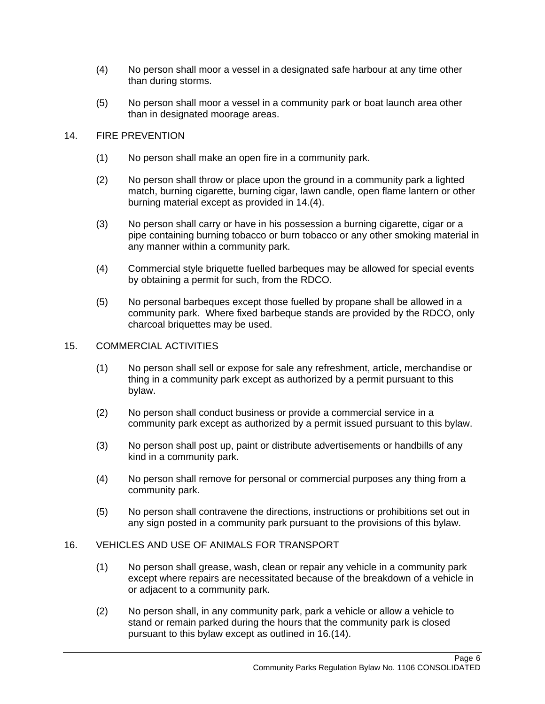- (4) No person shall moor a vessel in a designated safe harbour at any time other than during storms.
- (5) No person shall moor a vessel in a community park or boat launch area other than in designated moorage areas.

#### 14. FIRE PREVENTION

- (1) No person shall make an open fire in a community park.
- (2) No person shall throw or place upon the ground in a community park a lighted match, burning cigarette, burning cigar, lawn candle, open flame lantern or other burning material except as provided in 14.(4).
- (3) No person shall carry or have in his possession a burning cigarette, cigar or a pipe containing burning tobacco or burn tobacco or any other smoking material in any manner within a community park.
- (4) Commercial style briquette fuelled barbeques may be allowed for special events by obtaining a permit for such, from the RDCO.
- (5) No personal barbeques except those fuelled by propane shall be allowed in a community park. Where fixed barbeque stands are provided by the RDCO, only charcoal briquettes may be used.

#### 15. COMMERCIAL ACTIVITIES

- (1) No person shall sell or expose for sale any refreshment, article, merchandise or thing in a community park except as authorized by a permit pursuant to this bylaw.
- (2) No person shall conduct business or provide a commercial service in a community park except as authorized by a permit issued pursuant to this bylaw.
- (3) No person shall post up, paint or distribute advertisements or handbills of any kind in a community park.
- (4) No person shall remove for personal or commercial purposes any thing from a community park.
- (5) No person shall contravene the directions, instructions or prohibitions set out in any sign posted in a community park pursuant to the provisions of this bylaw.

#### 16. VEHICLES AND USE OF ANIMALS FOR TRANSPORT

- (1) No person shall grease, wash, clean or repair any vehicle in a community park except where repairs are necessitated because of the breakdown of a vehicle in or adjacent to a community park.
- (2) No person shall, in any community park, park a vehicle or allow a vehicle to stand or remain parked during the hours that the community park is closed pursuant to this bylaw except as outlined in 16.(14).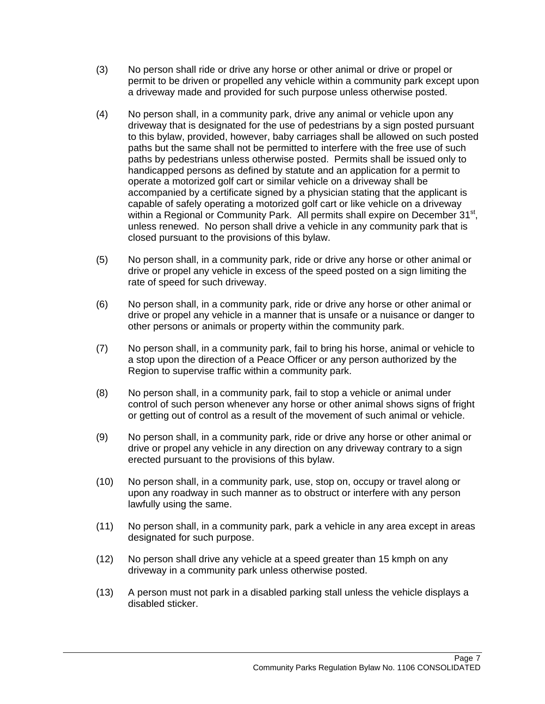- (3) No person shall ride or drive any horse or other animal or drive or propel or permit to be driven or propelled any vehicle within a community park except upon a driveway made and provided for such purpose unless otherwise posted.
- (4) No person shall, in a community park, drive any animal or vehicle upon any driveway that is designated for the use of pedestrians by a sign posted pursuant to this bylaw, provided, however, baby carriages shall be allowed on such posted paths but the same shall not be permitted to interfere with the free use of such paths by pedestrians unless otherwise posted. Permits shall be issued only to handicapped persons as defined by statute and an application for a permit to operate a motorized golf cart or similar vehicle on a driveway shall be accompanied by a certificate signed by a physician stating that the applicant is capable of safely operating a motorized golf cart or like vehicle on a driveway within a Regional or Community Park. All permits shall expire on December 31<sup>st</sup>, unless renewed. No person shall drive a vehicle in any community park that is closed pursuant to the provisions of this bylaw.
- (5) No person shall, in a community park, ride or drive any horse or other animal or drive or propel any vehicle in excess of the speed posted on a sign limiting the rate of speed for such driveway.
- (6) No person shall, in a community park, ride or drive any horse or other animal or drive or propel any vehicle in a manner that is unsafe or a nuisance or danger to other persons or animals or property within the community park.
- (7) No person shall, in a community park, fail to bring his horse, animal or vehicle to a stop upon the direction of a Peace Officer or any person authorized by the Region to supervise traffic within a community park.
- (8) No person shall, in a community park, fail to stop a vehicle or animal under control of such person whenever any horse or other animal shows signs of fright or getting out of control as a result of the movement of such animal or vehicle.
- (9) No person shall, in a community park, ride or drive any horse or other animal or drive or propel any vehicle in any direction on any driveway contrary to a sign erected pursuant to the provisions of this bylaw.
- (10) No person shall, in a community park, use, stop on, occupy or travel along or upon any roadway in such manner as to obstruct or interfere with any person lawfully using the same.
- (11) No person shall, in a community park, park a vehicle in any area except in areas designated for such purpose.
- (12) No person shall drive any vehicle at a speed greater than 15 kmph on any driveway in a community park unless otherwise posted.
- (13) A person must not park in a disabled parking stall unless the vehicle displays a disabled sticker.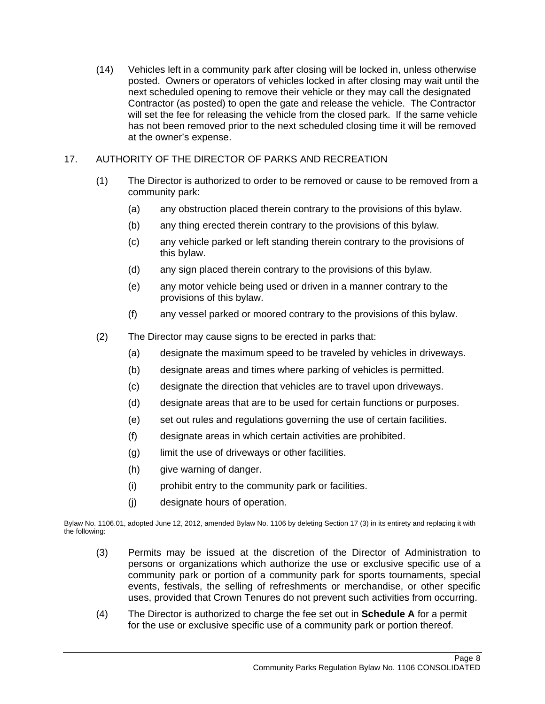(14) Vehicles left in a community park after closing will be locked in, unless otherwise posted. Owners or operators of vehicles locked in after closing may wait until the next scheduled opening to remove their vehicle or they may call the designated Contractor (as posted) to open the gate and release the vehicle. The Contractor will set the fee for releasing the vehicle from the closed park. If the same vehicle has not been removed prior to the next scheduled closing time it will be removed at the owner's expense.

## 17. AUTHORITY OF THE DIRECTOR OF PARKS AND RECREATION

- (1) The Director is authorized to order to be removed or cause to be removed from a community park:
	- (a) any obstruction placed therein contrary to the provisions of this bylaw.
	- (b) any thing erected therein contrary to the provisions of this bylaw.
	- (c) any vehicle parked or left standing therein contrary to the provisions of this bylaw.
	- (d) any sign placed therein contrary to the provisions of this bylaw.
	- (e) any motor vehicle being used or driven in a manner contrary to the provisions of this bylaw.
	- (f) any vessel parked or moored contrary to the provisions of this bylaw.
- (2) The Director may cause signs to be erected in parks that:
	- (a) designate the maximum speed to be traveled by vehicles in driveways.
	- (b) designate areas and times where parking of vehicles is permitted.
	- (c) designate the direction that vehicles are to travel upon driveways.
	- (d) designate areas that are to be used for certain functions or purposes.
	- (e) set out rules and regulations governing the use of certain facilities.
	- (f) designate areas in which certain activities are prohibited.
	- (g) limit the use of driveways or other facilities.
	- (h) give warning of danger.
	- (i) prohibit entry to the community park or facilities.
	- (j) designate hours of operation.

Bylaw No. 1106.01, adopted June 12, 2012, amended Bylaw No. 1106 by deleting Section 17 (3) in its entirety and replacing it with the following:

- (3) Permits may be issued at the discretion of the Director of Administration to persons or organizations which authorize the use or exclusive specific use of a community park or portion of a community park for sports tournaments, special events, festivals, the selling of refreshments or merchandise, or other specific uses, provided that Crown Tenures do not prevent such activities from occurring.
- (4) The Director is authorized to charge the fee set out in **Schedule A** for a permit for the use or exclusive specific use of a community park or portion thereof.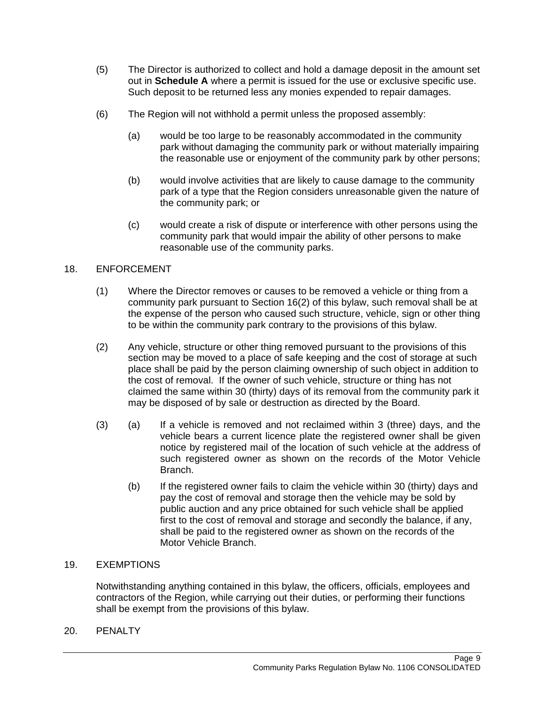- (5) The Director is authorized to collect and hold a damage deposit in the amount set out in **Schedule A** where a permit is issued for the use or exclusive specific use. Such deposit to be returned less any monies expended to repair damages.
- (6) The Region will not withhold a permit unless the proposed assembly:
	- (a) would be too large to be reasonably accommodated in the community park without damaging the community park or without materially impairing the reasonable use or enjoyment of the community park by other persons;
	- (b) would involve activities that are likely to cause damage to the community park of a type that the Region considers unreasonable given the nature of the community park; or
	- (c) would create a risk of dispute or interference with other persons using the community park that would impair the ability of other persons to make reasonable use of the community parks.

## 18. ENFORCEMENT

- (1) Where the Director removes or causes to be removed a vehicle or thing from a community park pursuant to Section 16(2) of this bylaw, such removal shall be at the expense of the person who caused such structure, vehicle, sign or other thing to be within the community park contrary to the provisions of this bylaw.
- (2) Any vehicle, structure or other thing removed pursuant to the provisions of this section may be moved to a place of safe keeping and the cost of storage at such place shall be paid by the person claiming ownership of such object in addition to the cost of removal. If the owner of such vehicle, structure or thing has not claimed the same within 30 (thirty) days of its removal from the community park it may be disposed of by sale or destruction as directed by the Board.
- (3) (a) If a vehicle is removed and not reclaimed within 3 (three) days, and the vehicle bears a current licence plate the registered owner shall be given notice by registered mail of the location of such vehicle at the address of such registered owner as shown on the records of the Motor Vehicle Branch.
	- (b) If the registered owner fails to claim the vehicle within 30 (thirty) days and pay the cost of removal and storage then the vehicle may be sold by public auction and any price obtained for such vehicle shall be applied first to the cost of removal and storage and secondly the balance, if any, shall be paid to the registered owner as shown on the records of the Motor Vehicle Branch.

## 19. EXEMPTIONS

Notwithstanding anything contained in this bylaw, the officers, officials, employees and contractors of the Region, while carrying out their duties, or performing their functions shall be exempt from the provisions of this bylaw.

20. PENALTY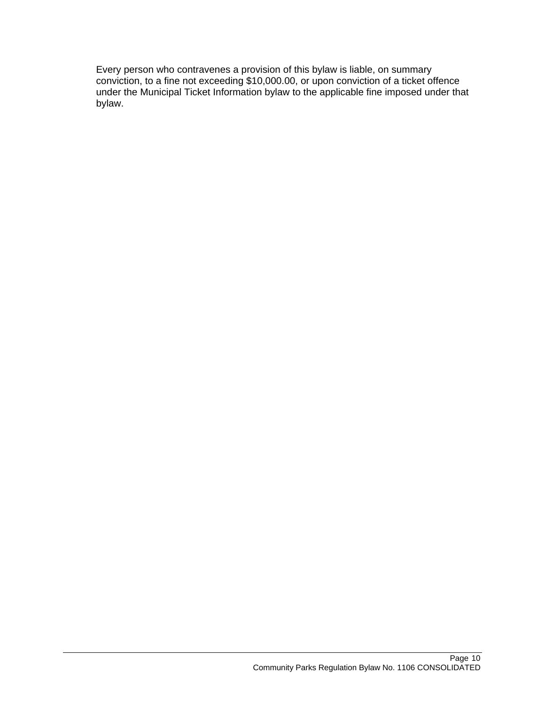Every person who contravenes a provision of this bylaw is liable, on summary conviction, to a fine not exceeding \$10,000.00, or upon conviction of a ticket offence under the Municipal Ticket Information bylaw to the applicable fine imposed under that bylaw.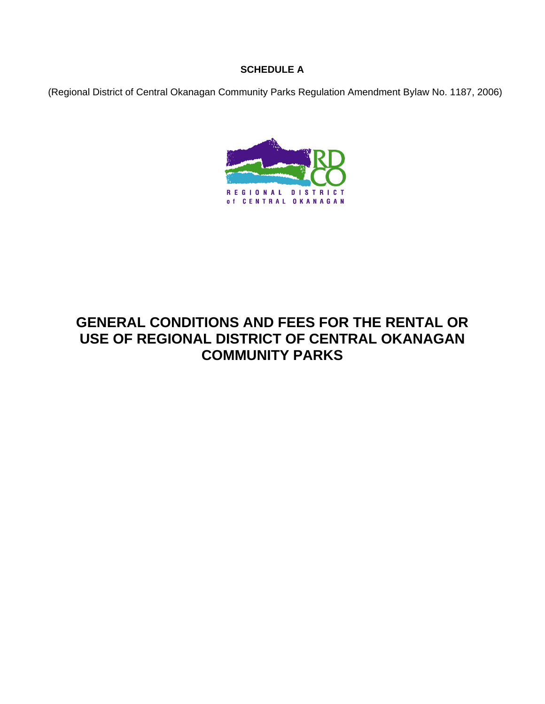## **SCHEDULE A**

(Regional District of Central Okanagan Community Parks Regulation Amendment Bylaw No. 1187, 2006)



# **GENERAL CONDITIONS AND FEES FOR THE RENTAL OR USE OF REGIONAL DISTRICT OF CENTRAL OKANAGAN COMMUNITY PARKS**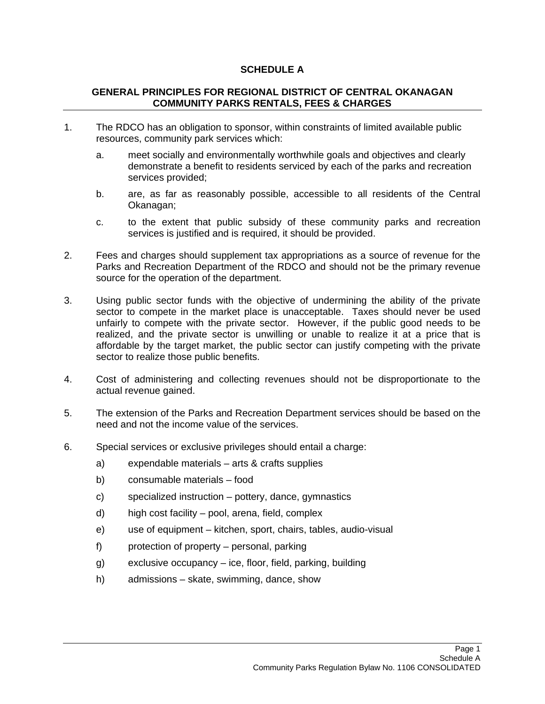## **SCHEDULE A**

## **GENERAL PRINCIPLES FOR REGIONAL DISTRICT OF CENTRAL OKANAGAN COMMUNITY PARKS RENTALS, FEES & CHARGES**

- 1. The RDCO has an obligation to sponsor, within constraints of limited available public resources, community park services which:
	- a. meet socially and environmentally worthwhile goals and objectives and clearly demonstrate a benefit to residents serviced by each of the parks and recreation services provided;
	- b. are, as far as reasonably possible, accessible to all residents of the Central Okanagan;
	- c. to the extent that public subsidy of these community parks and recreation services is justified and is required, it should be provided.
- 2. Fees and charges should supplement tax appropriations as a source of revenue for the Parks and Recreation Department of the RDCO and should not be the primary revenue source for the operation of the department.
- 3. Using public sector funds with the objective of undermining the ability of the private sector to compete in the market place is unacceptable. Taxes should never be used unfairly to compete with the private sector. However, if the public good needs to be realized, and the private sector is unwilling or unable to realize it at a price that is affordable by the target market, the public sector can justify competing with the private sector to realize those public benefits.
- 4. Cost of administering and collecting revenues should not be disproportionate to the actual revenue gained.
- 5. The extension of the Parks and Recreation Department services should be based on the need and not the income value of the services.
- 6. Special services or exclusive privileges should entail a charge:
	- a) expendable materials arts & crafts supplies
	- b) consumable materials food
	- c) specialized instruction pottery, dance, gymnastics
	- d) high cost facility pool, arena, field, complex
	- e) use of equipment kitchen, sport, chairs, tables, audio-visual
	- f) protection of property personal, parking
	- g) exclusive occupancy ice, floor, field, parking, building
	- h) admissions skate, swimming, dance, show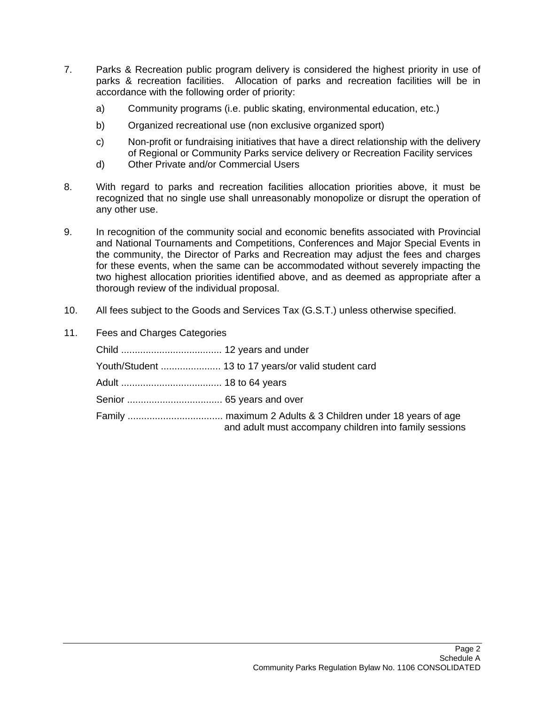- 7. Parks & Recreation public program delivery is considered the highest priority in use of parks & recreation facilities. Allocation of parks and recreation facilities will be in accordance with the following order of priority:
	- a) Community programs (i.e. public skating, environmental education, etc.)
	- b) Organized recreational use (non exclusive organized sport)
	- c) Non-profit or fundraising initiatives that have a direct relationship with the delivery of Regional or Community Parks service delivery or Recreation Facility services
	- d) Other Private and/or Commercial Users
- 8. With regard to parks and recreation facilities allocation priorities above, it must be recognized that no single use shall unreasonably monopolize or disrupt the operation of any other use.
- 9. In recognition of the community social and economic benefits associated with Provincial and National Tournaments and Competitions, Conferences and Major Special Events in the community, the Director of Parks and Recreation may adjust the fees and charges for these events, when the same can be accommodated without severely impacting the two highest allocation priorities identified above, and as deemed as appropriate after a thorough review of the individual proposal.
- 10. All fees subject to the Goods and Services Tax (G.S.T.) unless otherwise specified.
- 11. Fees and Charges Categories

| Youth/Student  13 to 17 years/or valid student card    |
|--------------------------------------------------------|
|                                                        |
|                                                        |
| and adult must accompany children into family sessions |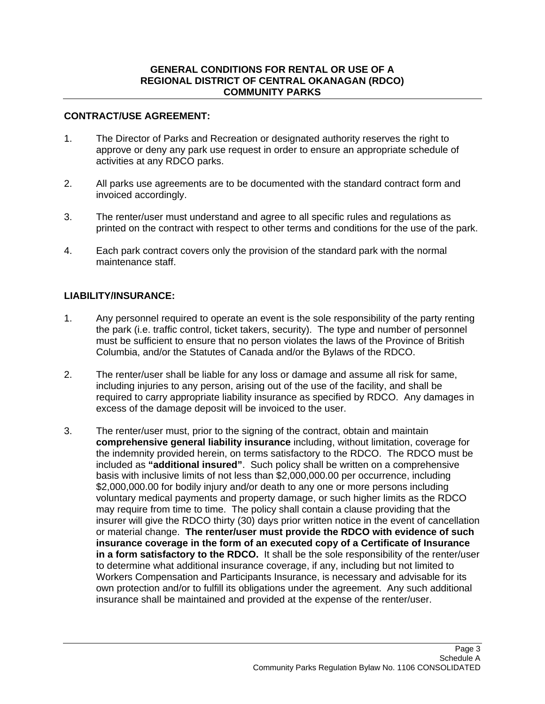#### **GENERAL CONDITIONS FOR RENTAL OR USE OF A REGIONAL DISTRICT OF CENTRAL OKANAGAN (RDCO) COMMUNITY PARKS**

#### **CONTRACT/USE AGREEMENT:**

- 1. The Director of Parks and Recreation or designated authority reserves the right to approve or deny any park use request in order to ensure an appropriate schedule of activities at any RDCO parks.
- 2. All parks use agreements are to be documented with the standard contract form and invoiced accordingly.
- 3. The renter/user must understand and agree to all specific rules and regulations as printed on the contract with respect to other terms and conditions for the use of the park.
- 4. Each park contract covers only the provision of the standard park with the normal maintenance staff.

## **LIABILITY/INSURANCE:**

- 1. Any personnel required to operate an event is the sole responsibility of the party renting the park (i.e. traffic control, ticket takers, security). The type and number of personnel must be sufficient to ensure that no person violates the laws of the Province of British Columbia, and/or the Statutes of Canada and/or the Bylaws of the RDCO.
- 2. The renter/user shall be liable for any loss or damage and assume all risk for same, including injuries to any person, arising out of the use of the facility, and shall be required to carry appropriate liability insurance as specified by RDCO. Any damages in excess of the damage deposit will be invoiced to the user.
- 3. The renter/user must, prior to the signing of the contract, obtain and maintain **comprehensive general liability insurance** including, without limitation, coverage for the indemnity provided herein, on terms satisfactory to the RDCO. The RDCO must be included as **"additional insured"**.Such policy shall be written on a comprehensive basis with inclusive limits of not less than \$2,000,000.00 per occurrence, including \$2,000,000.00 for bodily injury and/or death to any one or more persons including voluntary medical payments and property damage, or such higher limits as the RDCO may require from time to time. The policy shall contain a clause providing that the insurer will give the RDCO thirty (30) days prior written notice in the event of cancellation or material change. **The renter/user must provide the RDCO with evidence of such insurance coverage in the form of an executed copy of a Certificate of Insurance in a form satisfactory to the RDCO.** It shall be the sole responsibility of the renter/user to determine what additional insurance coverage, if any, including but not limited to Workers Compensation and Participants Insurance, is necessary and advisable for its own protection and/or to fulfill its obligations under the agreement. Any such additional insurance shall be maintained and provided at the expense of the renter/user.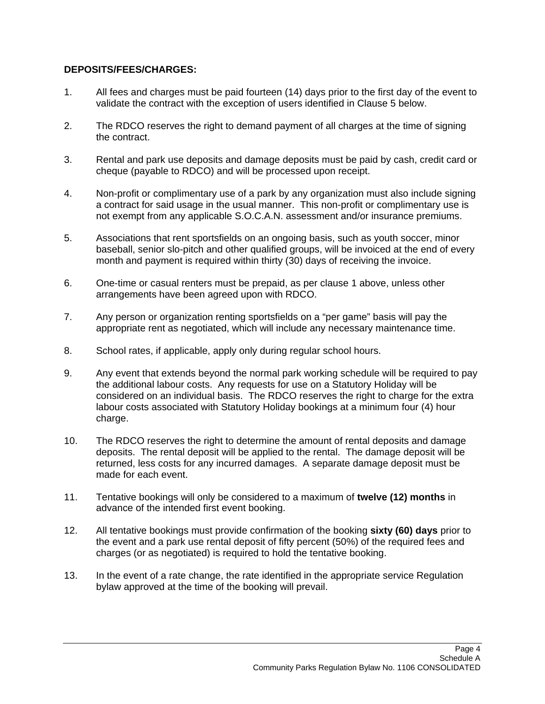## **DEPOSITS/FEES/CHARGES:**

- 1. All fees and charges must be paid fourteen (14) days prior to the first day of the event to validate the contract with the exception of users identified in Clause 5 below.
- 2. The RDCO reserves the right to demand payment of all charges at the time of signing the contract.
- 3. Rental and park use deposits and damage deposits must be paid by cash, credit card or cheque (payable to RDCO) and will be processed upon receipt.
- 4. Non-profit or complimentary use of a park by any organization must also include signing a contract for said usage in the usual manner. This non-profit or complimentary use is not exempt from any applicable S.O.C.A.N. assessment and/or insurance premiums.
- 5. Associations that rent sportsfields on an ongoing basis, such as youth soccer, minor baseball, senior slo-pitch and other qualified groups, will be invoiced at the end of every month and payment is required within thirty (30) days of receiving the invoice.
- 6. One-time or casual renters must be prepaid, as per clause 1 above, unless other arrangements have been agreed upon with RDCO.
- 7. Any person or organization renting sportsfields on a "per game" basis will pay the appropriate rent as negotiated, which will include any necessary maintenance time.
- 8. School rates, if applicable, apply only during regular school hours.
- 9. Any event that extends beyond the normal park working schedule will be required to pay the additional labour costs. Any requests for use on a Statutory Holiday will be considered on an individual basis. The RDCO reserves the right to charge for the extra labour costs associated with Statutory Holiday bookings at a minimum four (4) hour charge.
- 10. The RDCO reserves the right to determine the amount of rental deposits and damage deposits. The rental deposit will be applied to the rental. The damage deposit will be returned, less costs for any incurred damages. A separate damage deposit must be made for each event.
- 11. Tentative bookings will only be considered to a maximum of **twelve (12) months** in advance of the intended first event booking.
- 12. All tentative bookings must provide confirmation of the booking **sixty (60) days** prior to the event and a park use rental deposit of fifty percent (50%) of the required fees and charges (or as negotiated) is required to hold the tentative booking.
- 13. In the event of a rate change, the rate identified in the appropriate service Regulation bylaw approved at the time of the booking will prevail.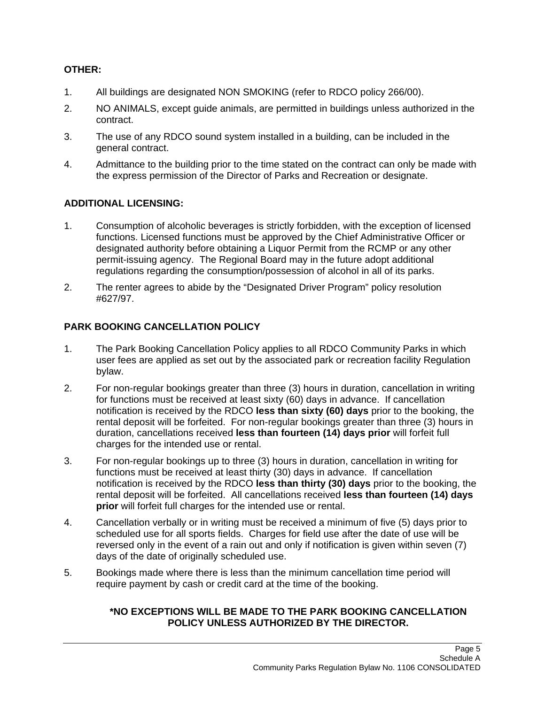# **OTHER:**

- 1. All buildings are designated NON SMOKING (refer to RDCO policy 266/00).
- 2. NO ANIMALS, except guide animals, are permitted in buildings unless authorized in the contract.
- 3. The use of any RDCO sound system installed in a building, can be included in the general contract.
- 4. Admittance to the building prior to the time stated on the contract can only be made with the express permission of the Director of Parks and Recreation or designate.

# **ADDITIONAL LICENSING:**

- 1. Consumption of alcoholic beverages is strictly forbidden, with the exception of licensed functions. Licensed functions must be approved by the Chief Administrative Officer or designated authority before obtaining a Liquor Permit from the RCMP or any other permit-issuing agency. The Regional Board may in the future adopt additional regulations regarding the consumption/possession of alcohol in all of its parks.
- 2. The renter agrees to abide by the "Designated Driver Program" policy resolution #627/97.

# **PARK BOOKING CANCELLATION POLICY**

- 1. The Park Booking Cancellation Policy applies to all RDCO Community Parks in which user fees are applied as set out by the associated park or recreation facility Regulation bylaw.
- 2. For non-regular bookings greater than three (3) hours in duration, cancellation in writing for functions must be received at least sixty (60) days in advance. If cancellation notification is received by the RDCO **less than sixty (60) days** prior to the booking, the rental deposit will be forfeited. For non-regular bookings greater than three (3) hours in duration, cancellations received **less than fourteen (14) days prior** will forfeit full charges for the intended use or rental.
- 3. For non-regular bookings up to three (3) hours in duration, cancellation in writing for functions must be received at least thirty (30) days in advance. If cancellation notification is received by the RDCO **less than thirty (30) days** prior to the booking, the rental deposit will be forfeited. All cancellations received **less than fourteen (14) days prior** will forfeit full charges for the intended use or rental.
- 4. Cancellation verbally or in writing must be received a minimum of five (5) days prior to scheduled use for all sports fields. Charges for field use after the date of use will be reversed only in the event of a rain out and only if notification is given within seven (7) days of the date of originally scheduled use.
- 5. Bookings made where there is less than the minimum cancellation time period will require payment by cash or credit card at the time of the booking.

## **\*NO EXCEPTIONS WILL BE MADE TO THE PARK BOOKING CANCELLATION POLICY UNLESS AUTHORIZED BY THE DIRECTOR.**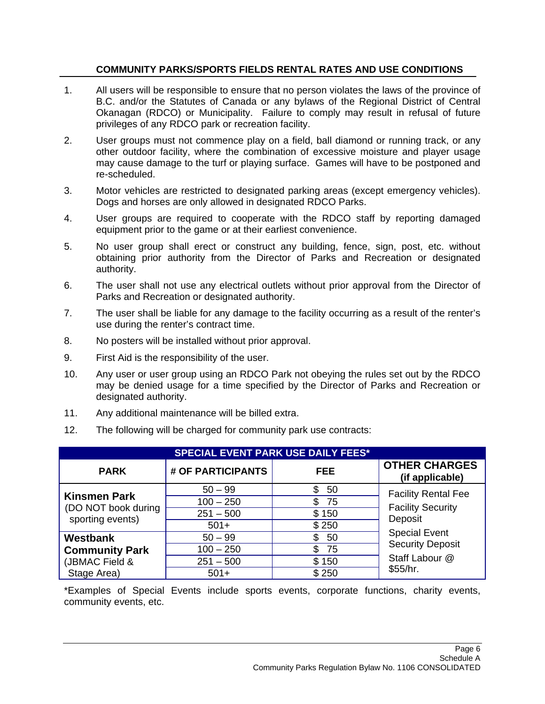## **COMMUNITY PARKS/SPORTS FIELDS RENTAL RATES AND USE CONDITIONS**

- 1. All users will be responsible to ensure that no person violates the laws of the province of B.C. and/or the Statutes of Canada or any bylaws of the Regional District of Central Okanagan (RDCO) or Municipality. Failure to comply may result in refusal of future privileges of any RDCO park or recreation facility.
- 2. User groups must not commence play on a field, ball diamond or running track, or any other outdoor facility, where the combination of excessive moisture and player usage may cause damage to the turf or playing surface. Games will have to be postponed and re-scheduled.
- 3. Motor vehicles are restricted to designated parking areas (except emergency vehicles). Dogs and horses are only allowed in designated RDCO Parks.
- 4. User groups are required to cooperate with the RDCO staff by reporting damaged equipment prior to the game or at their earliest convenience.
- 5. No user group shall erect or construct any building, fence, sign, post, etc. without obtaining prior authority from the Director of Parks and Recreation or designated authority.
- 6. The user shall not use any electrical outlets without prior approval from the Director of Parks and Recreation or designated authority.
- 7. The user shall be liable for any damage to the facility occurring as a result of the renter's use during the renter's contract time.
- 8. No posters will be installed without prior approval.
- 9. First Aid is the responsibility of the user.
- 10. Any user or user group using an RDCO Park not obeying the rules set out by the RDCO may be denied usage for a time specified by the Director of Parks and Recreation or designated authority.
- 11. Any additional maintenance will be billed extra.
- 12. The following will be charged for community park use contracts:

| <b>SPECIAL EVENT PARK USE DAILY FEES*</b>                      |                   |            |                                         |  |  |
|----------------------------------------------------------------|-------------------|------------|-----------------------------------------|--|--|
| <b>PARK</b>                                                    | # OF PARTICIPANTS | <b>FEE</b> | <b>OTHER CHARGES</b><br>(if applicable) |  |  |
| <b>Kinsmen Park</b><br>(DO NOT book during<br>sporting events) | $50 - 99$         | 50<br>S.   | <b>Facility Rental Fee</b>              |  |  |
|                                                                | $100 - 250$       | 75<br>S.   | <b>Facility Security</b>                |  |  |
|                                                                | $251 - 500$       | \$150      | Deposit                                 |  |  |
|                                                                | $501+$            | \$250      |                                         |  |  |
| <b>Westbank</b>                                                | $50 - 99$         | 50<br>\$   | <b>Special Event</b>                    |  |  |
| <b>Community Park</b>                                          | $100 - 250$       | 75<br>S    | <b>Security Deposit</b>                 |  |  |
| (JBMAC Field &                                                 | $251 - 500$       | \$150      | Staff Labour @                          |  |  |
| Stage Area)                                                    | $501+$            | \$250      | \$55/hr.                                |  |  |

\*Examples of Special Events include sports events, corporate functions, charity events, community events, etc.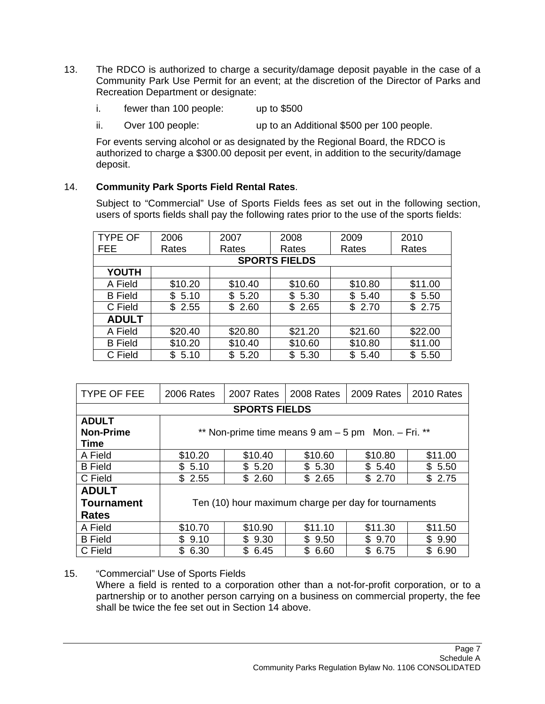- 13. The RDCO is authorized to charge a security/damage deposit payable in the case of a Community Park Use Permit for an event; at the discretion of the Director of Parks and Recreation Department or designate:
	- i. fewer than 100 people: up to \$500
	- ii. Over 100 people: up to an Additional \$500 per 100 people.

For events serving alcohol or as designated by the Regional Board, the RDCO is authorized to charge a \$300.00 deposit per event, in addition to the security/damage deposit.

# 14. **Community Park Sports Field Rental Rates**.

Subject to "Commercial" Use of Sports Fields fees as set out in the following section, users of sports fields shall pay the following rates prior to the use of the sports fields:

| <b>TYPE OF</b>       | 2006       | 2007    | 2008       | 2009    | 2010        |
|----------------------|------------|---------|------------|---------|-------------|
| <b>FEE</b>           | Rates      | Rates   | Rates      | Rates   | Rates       |
| <b>SPORTS FIELDS</b> |            |         |            |         |             |
| <b>YOUTH</b>         |            |         |            |         |             |
| A Field              | \$10.20    | \$10.40 | \$10.60    | \$10.80 | \$11.00     |
| <b>B</b> Field       | \$<br>5.10 | \$5.20  | \$<br>5.30 | \$5.40  | \$<br>5.50  |
| C Field              | \$<br>2.55 | \$2.60  | \$<br>2.65 | \$2.70  | \$2.75      |
| <b>ADULT</b>         |            |         |            |         |             |
| A Field              | \$20.40    | \$20.80 | \$21.20    | \$21.60 | \$22.00     |
| <b>B</b> Field       | \$10.20    | \$10.40 | \$10.60    | \$10.80 | \$11.00     |
| C Field              | \$<br>5.10 | \$5.20  | \$5.30     | \$5.40  | \$.<br>5.50 |

| <b>TYPE OF FEE</b> | 2006 Rates                                              | 2007 Rates | 2008 Rates | 2009 Rates | 2010 Rates |
|--------------------|---------------------------------------------------------|------------|------------|------------|------------|
|                    | <b>SPORTS FIELDS</b>                                    |            |            |            |            |
| <b>ADULT</b>       |                                                         |            |            |            |            |
| <b>Non-Prime</b>   | ** Non-prime time means $9$ am $-5$ pm Mon. $-$ Fri. ** |            |            |            |            |
| Time               |                                                         |            |            |            |            |
| A Field            | \$10.20                                                 | \$10.40    | \$10.60    | \$10.80    | \$11.00    |
| <b>B</b> Field     | \$5.10                                                  | \$5.20     | \$5.30     | \$5.40     | \$5.50     |
| C Field            | \$2.55                                                  | \$2.60     | \$2.65     | \$2.70     | \$2.75     |
| <b>ADULT</b>       |                                                         |            |            |            |            |
| Tournament         | Ten (10) hour maximum charge per day for tournaments    |            |            |            |            |
| <b>Rates</b>       |                                                         |            |            |            |            |
| A Field            | \$10.70                                                 | \$10.90    | \$11.10    | \$11.30    | \$11.50    |
| <b>B</b> Field     | \$9.10                                                  | \$9.30     | \$9.50     | \$9.70     | \$9.90     |
| C Field            | \$.<br>6.30                                             | \$<br>6.45 | \$6.60     | \$<br>6.75 | \$6.90     |

## 15. "Commercial" Use of Sports Fields

Where a field is rented to a corporation other than a not-for-profit corporation, or to a partnership or to another person carrying on a business on commercial property, the fee shall be twice the fee set out in Section 14 above.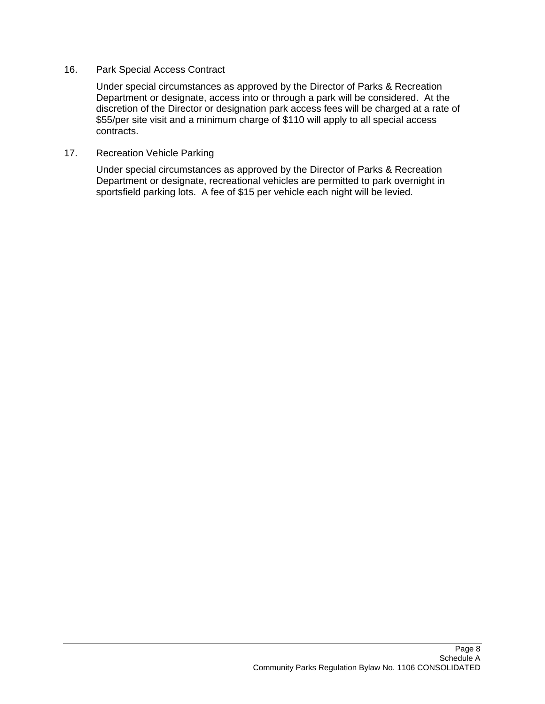#### 16. Park Special Access Contract

Under special circumstances as approved by the Director of Parks & Recreation Department or designate, access into or through a park will be considered. At the discretion of the Director or designation park access fees will be charged at a rate of \$55/per site visit and a minimum charge of \$110 will apply to all special access contracts.

#### 17. Recreation Vehicle Parking

Under special circumstances as approved by the Director of Parks & Recreation Department or designate, recreational vehicles are permitted to park overnight in sportsfield parking lots. A fee of \$15 per vehicle each night will be levied.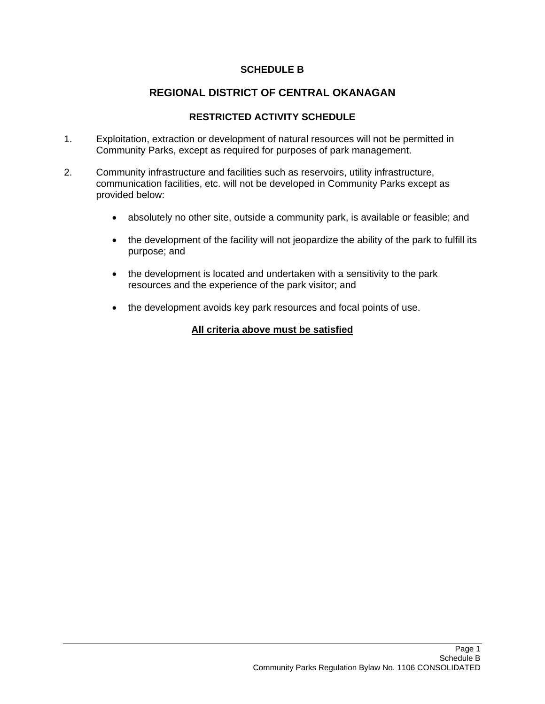## **SCHEDULE B**

# **REGIONAL DISTRICT OF CENTRAL OKANAGAN**

## **RESTRICTED ACTIVITY SCHEDULE**

- 1. Exploitation, extraction or development of natural resources will not be permitted in Community Parks, except as required for purposes of park management.
- 2. Community infrastructure and facilities such as reservoirs, utility infrastructure, communication facilities, etc. will not be developed in Community Parks except as provided below:
	- absolutely no other site, outside a community park, is available or feasible; and
	- the development of the facility will not jeopardize the ability of the park to fulfill its purpose; and
	- the development is located and undertaken with a sensitivity to the park resources and the experience of the park visitor; and
	- the development avoids key park resources and focal points of use.

## **All criteria above must be satisfied**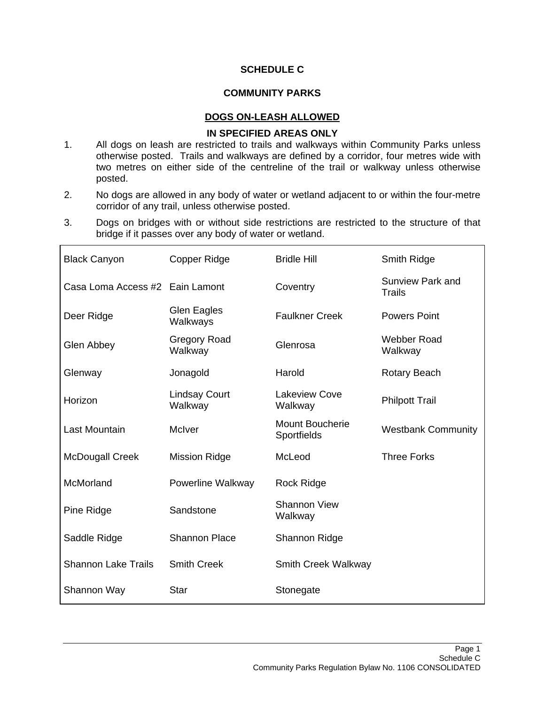## **SCHEDULE C**

## **COMMUNITY PARKS**

#### **DOGS ON-LEASH ALLOWED**

#### **IN SPECIFIED AREAS ONLY**

- 1. All dogs on leash are restricted to trails and walkways within Community Parks unless otherwise posted. Trails and walkways are defined by a corridor, four metres wide with two metres on either side of the centreline of the trail or walkway unless otherwise posted.
- 2. No dogs are allowed in any body of water or wetland adjacent to or within the four-metre corridor of any trail, unless otherwise posted.
- 3. Dogs on bridges with or without side restrictions are restricted to the structure of that bridge if it passes over any body of water or wetland.

| <b>Black Canyon</b>             | Copper Ridge                    | <b>Bridle Hill</b>                    | Smith Ridge                       |
|---------------------------------|---------------------------------|---------------------------------------|-----------------------------------|
| Casa Loma Access #2 Eain Lamont |                                 | Coventry                              | Sunview Park and<br><b>Trails</b> |
| Deer Ridge                      | <b>Glen Eagles</b><br>Walkways  | <b>Faulkner Creek</b>                 | <b>Powers Point</b>               |
| Glen Abbey                      | <b>Gregory Road</b><br>Walkway  | Glenrosa                              | Webber Road<br>Walkway            |
| Glenway                         | Jonagold                        | Harold                                | <b>Rotary Beach</b>               |
| Horizon                         | <b>Lindsay Court</b><br>Walkway | <b>Lakeview Cove</b><br>Walkway       | <b>Philpott Trail</b>             |
| Last Mountain                   | McIver                          | <b>Mount Boucherie</b><br>Sportfields | <b>Westbank Community</b>         |
| <b>McDougall Creek</b>          | <b>Mission Ridge</b>            | McLeod                                | <b>Three Forks</b>                |
| McMorland                       | Powerline Walkway               | Rock Ridge                            |                                   |
| Pine Ridge                      | Sandstone                       | <b>Shannon View</b><br>Walkway        |                                   |
| Saddle Ridge                    | <b>Shannon Place</b>            | Shannon Ridge                         |                                   |
| <b>Shannon Lake Trails</b>      | <b>Smith Creek</b>              | Smith Creek Walkway                   |                                   |
| Shannon Way                     | Star                            | Stonegate                             |                                   |